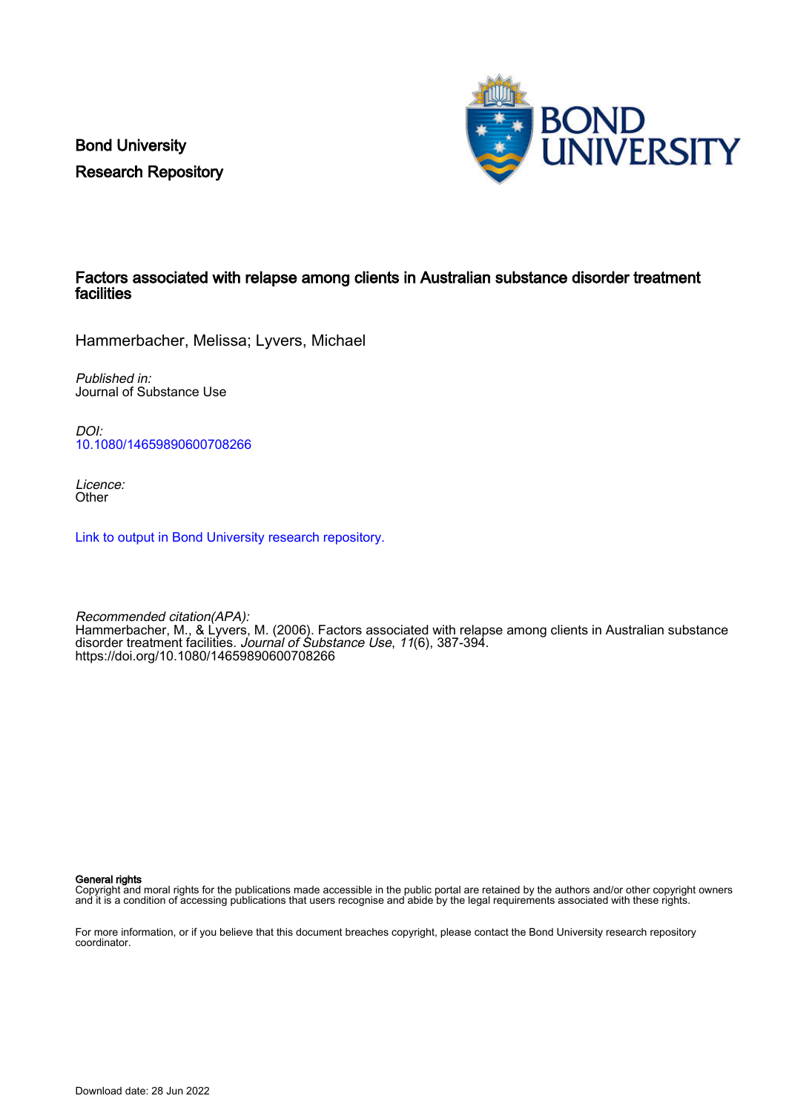Bond University Research Repository



## Factors associated with relapse among clients in Australian substance disorder treatment facilities

Hammerbacher, Melissa; Lyvers, Michael

Published in: Journal of Substance Use

DOI: [10.1080/14659890600708266](https://doi.org/10.1080/14659890600708266)

Licence: **Other** 

[Link to output in Bond University research repository.](https://research.bond.edu.au/en/publications/4027428a-cb7f-42cf-8c24-652cf0b6d6d4)

Recommended citation(APA): Hammerbacher, M., & Lyvers, M. (2006). Factors associated with relapse among clients in Australian substance disorder treatment facilities. Journal of Substance Use, 11(6), 387-394. <https://doi.org/10.1080/14659890600708266>

General rights

Copyright and moral rights for the publications made accessible in the public portal are retained by the authors and/or other copyright owners and it is a condition of accessing publications that users recognise and abide by the legal requirements associated with these rights.

For more information, or if you believe that this document breaches copyright, please contact the Bond University research repository coordinator.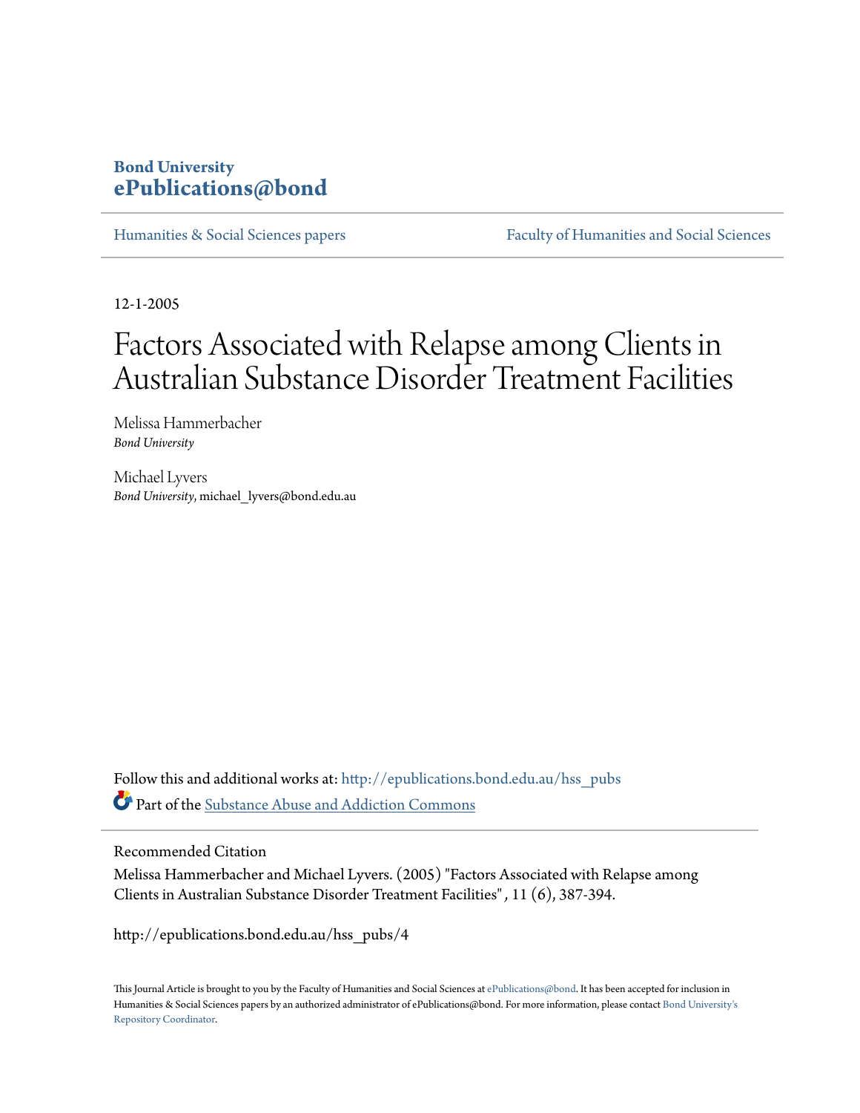# **Bond University [ePublications@bond](http://epublications.bond.edu.au?utm_source=epublications.bond.edu.au%2Fhss_pubs%2F4&utm_medium=PDF&utm_campaign=PDFCoverPages)**

[Humanities & Social Sciences papers](http://epublications.bond.edu.au/hss_pubs?utm_source=epublications.bond.edu.au%2Fhss_pubs%2F4&utm_medium=PDF&utm_campaign=PDFCoverPages) [Faculty of Humanities and Social Sciences](http://epublications.bond.edu.au/hss?utm_source=epublications.bond.edu.au%2Fhss_pubs%2F4&utm_medium=PDF&utm_campaign=PDFCoverPages)

12-1-2005

# Factors Associated with Relapse among Clients in Australian Substance Disorder Treatment Facilities

Melissa Hammerbacher *Bond University*

Michael Lyvers *Bond University*, michael\_lyvers@bond.edu.au

Follow this and additional works at: [http://epublications.bond.edu.au/hss\\_pubs](http://epublications.bond.edu.au/hss_pubs?utm_source=epublications.bond.edu.au%2Fhss_pubs%2F4&utm_medium=PDF&utm_campaign=PDFCoverPages) Part of the [Substance Abuse and Addiction Commons](http://network.bepress.com/hgg/discipline/710?utm_source=epublications.bond.edu.au%2Fhss_pubs%2F4&utm_medium=PDF&utm_campaign=PDFCoverPages)

Recommended Citation

Melissa Hammerbacher and Michael Lyvers. (2005) "Factors Associated with Relapse among Clients in Australian Substance Disorder Treatment Facilities" *,* 11 (6), 387-394.

http://epublications.bond.edu.au/hss\_pubs/4

This Journal Article is brought to you by the Faculty of Humanities and Social Sciences at [ePublications@bond](http://epublications.bond.edu.au). It has been accepted for inclusion in Humanities & Social Sciences papers by an authorized administrator of ePublications@bond. For more information, please contact [Bond University's](mailto:acass@bond.edu.au) [Repository Coordinator](mailto:acass@bond.edu.au).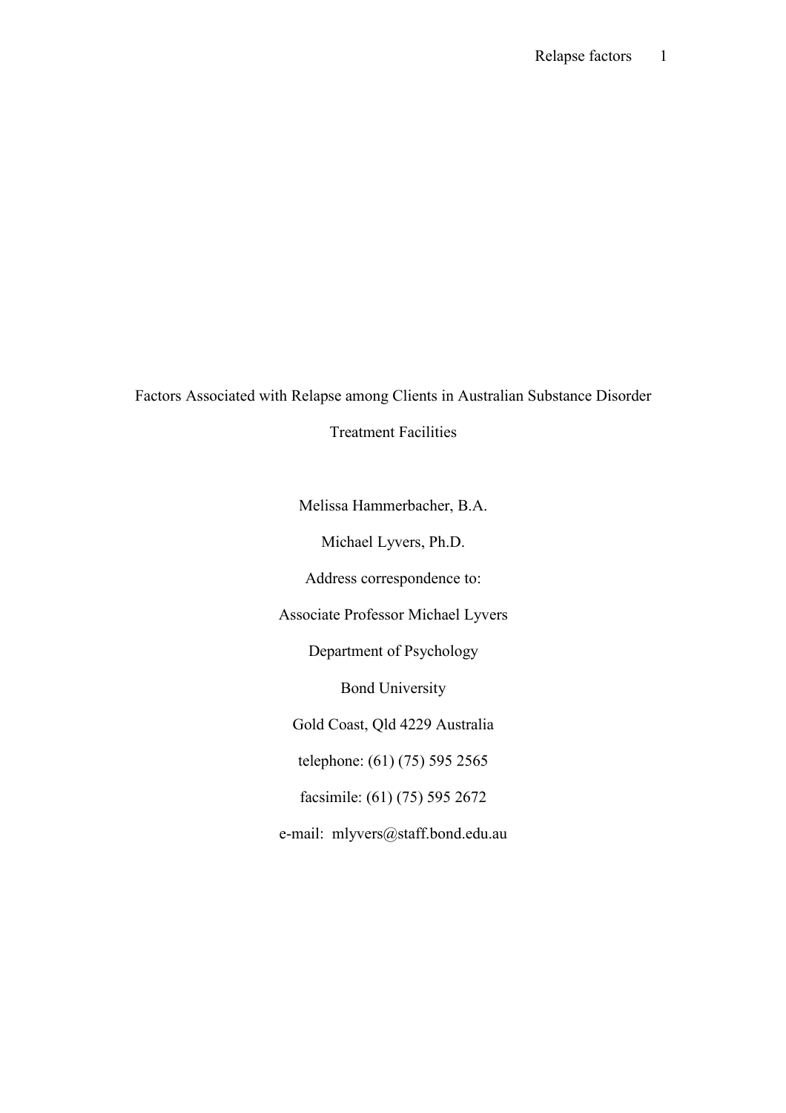Factors Associated with Relapse among Clients in Australian Substance Disorder

Treatment Facilities

Melissa Hammerbacher, B.A.

Michael Lyvers, Ph.D.

Address correspondence to:

Associate Professor Michael Lyvers

Department of Psychology

Bond University

Gold Coast, Qld 4229 Australia

telephone: (61) (75) 595 2565

facsimile: (61) (75) 595 2672

e-mail: mlyvers@staff.bond.edu.au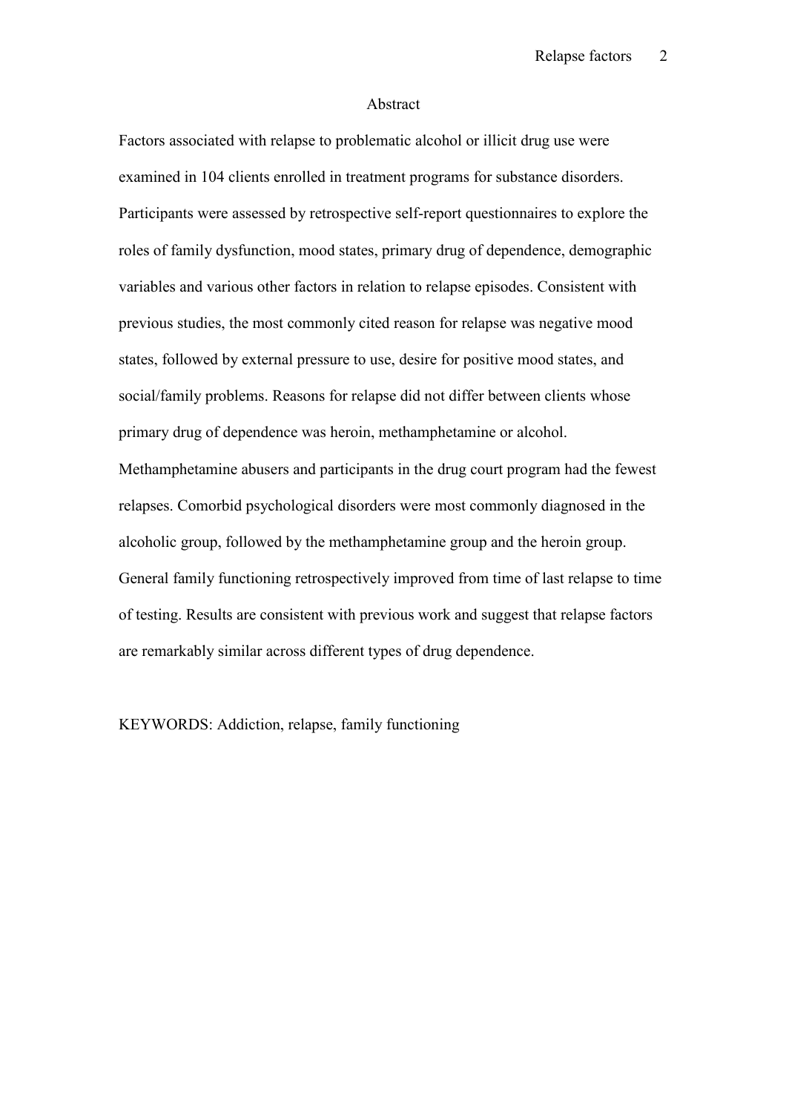#### Abstract

Factors associated with relapse to problematic alcohol or illicit drug use were examined in 104 clients enrolled in treatment programs for substance disorders. Participants were assessed by retrospective self-report questionnaires to explore the roles of family dysfunction, mood states, primary drug of dependence, demographic variables and various other factors in relation to relapse episodes. Consistent with previous studies, the most commonly cited reason for relapse was negative mood states, followed by external pressure to use, desire for positive mood states, and social/family problems. Reasons for relapse did not differ between clients whose primary drug of dependence was heroin, methamphetamine or alcohol. Methamphetamine abusers and participants in the drug court program had the fewest relapses. Comorbid psychological disorders were most commonly diagnosed in the alcoholic group, followed by the methamphetamine group and the heroin group. General family functioning retrospectively improved from time of last relapse to time of testing. Results are consistent with previous work and suggest that relapse factors are remarkably similar across different types of drug dependence.

KEYWORDS: Addiction, relapse, family functioning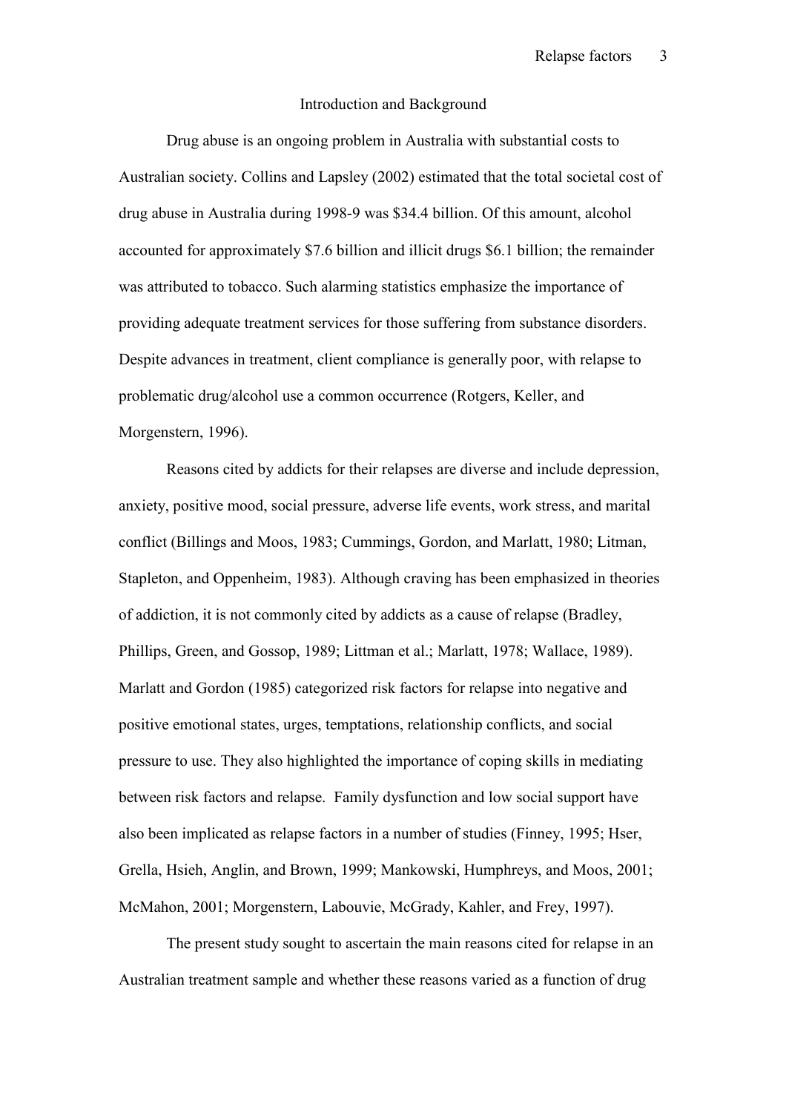#### Introduction and Background

Drug abuse is an ongoing problem in Australia with substantial costs to Australian society. Collins and Lapsley (2002) estimated that the total societal cost of drug abuse in Australia during 1998-9 was \$34.4 billion. Of this amount, alcohol accounted for approximately \$7.6 billion and illicit drugs \$6.1 billion; the remainder was attributed to tobacco. Such alarming statistics emphasize the importance of providing adequate treatment services for those suffering from substance disorders. Despite advances in treatment, client compliance is generally poor, with relapse to problematic drug/alcohol use a common occurrence (Rotgers, Keller, and Morgenstern, 1996).

Reasons cited by addicts for their relapses are diverse and include depression, anxiety, positive mood, social pressure, adverse life events, work stress, and marital conflict (Billings and Moos, 1983; Cummings, Gordon, and Marlatt, 1980; Litman, Stapleton, and Oppenheim, 1983). Although craving has been emphasized in theories of addiction, it is not commonly cited by addicts as a cause of relapse (Bradley, Phillips, Green, and Gossop, 1989; Littman et al.; Marlatt, 1978; Wallace, 1989). Marlatt and Gordon (1985) categorized risk factors for relapse into negative and positive emotional states, urges, temptations, relationship conflicts, and social pressure to use. They also highlighted the importance of coping skills in mediating between risk factors and relapse. Family dysfunction and low social support have also been implicated as relapse factors in a number of studies (Finney, 1995; Hser, Grella, Hsieh, Anglin, and Brown, 1999; Mankowski, Humphreys, and Moos, 2001; McMahon, 2001; Morgenstern, Labouvie, McGrady, Kahler, and Frey, 1997).

The present study sought to ascertain the main reasons cited for relapse in an Australian treatment sample and whether these reasons varied as a function of drug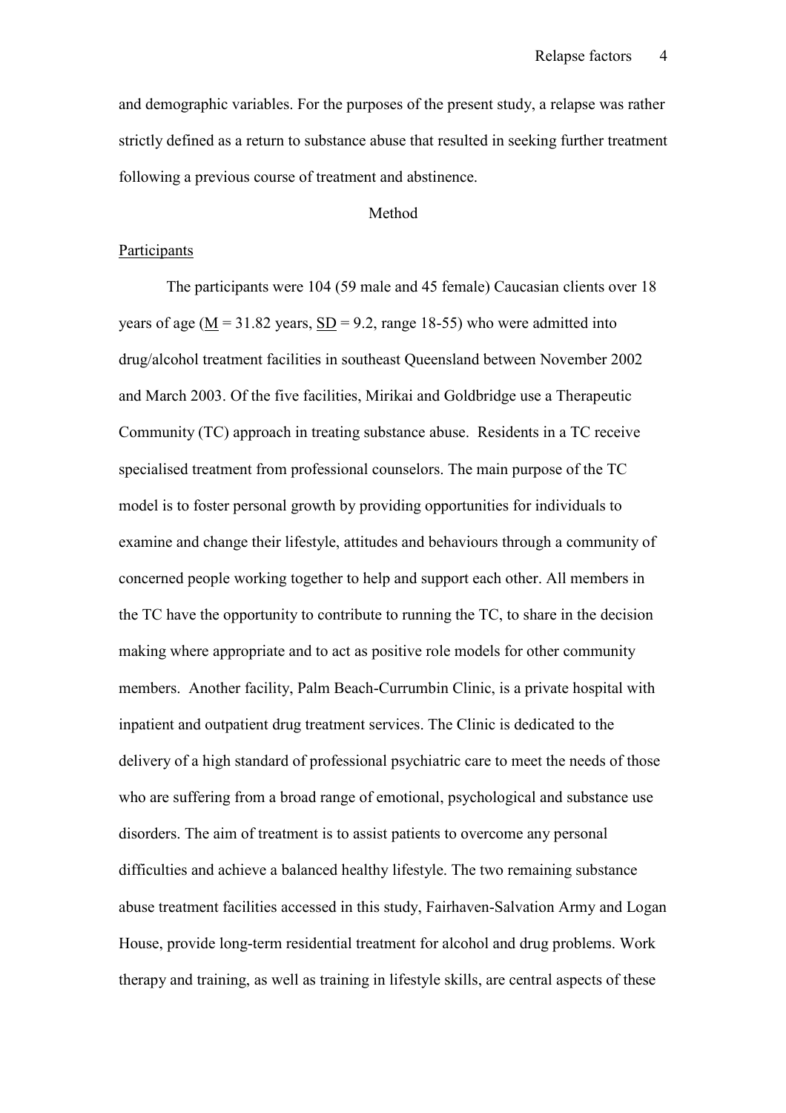and demographic variables. For the purposes of the present study, a relapse was rather strictly defined as a return to substance abuse that resulted in seeking further treatment following a previous course of treatment and abstinence.

## Method

#### **Participants**

The participants were 104 (59 male and 45 female) Caucasian clients over 18 years of age ( $M = 31.82$  years,  $SD = 9.2$ , range 18-55) who were admitted into drug/alcohol treatment facilities in southeast Queensland between November 2002 and March 2003. Of the five facilities, Mirikai and Goldbridge use a Therapeutic Community (TC) approach in treating substance abuse. Residents in a TC receive specialised treatment from professional counselors. The main purpose of the TC model is to foster personal growth by providing opportunities for individuals to examine and change their lifestyle, attitudes and behaviours through a community of concerned people working together to help and support each other. All members in the TC have the opportunity to contribute to running the TC, to share in the decision making where appropriate and to act as positive role models for other community members. Another facility, Palm Beach-Currumbin Clinic, is a private hospital with inpatient and outpatient drug treatment services. The Clinic is dedicated to the delivery of a high standard of professional psychiatric care to meet the needs of those who are suffering from a broad range of emotional, psychological and substance use disorders. The aim of treatment is to assist patients to overcome any personal difficulties and achieve a balanced healthy lifestyle. The two remaining substance abuse treatment facilities accessed in this study, Fairhaven-Salvation Army and Logan House, provide long-term residential treatment for alcohol and drug problems. Work therapy and training, as well as training in lifestyle skills, are central aspects of these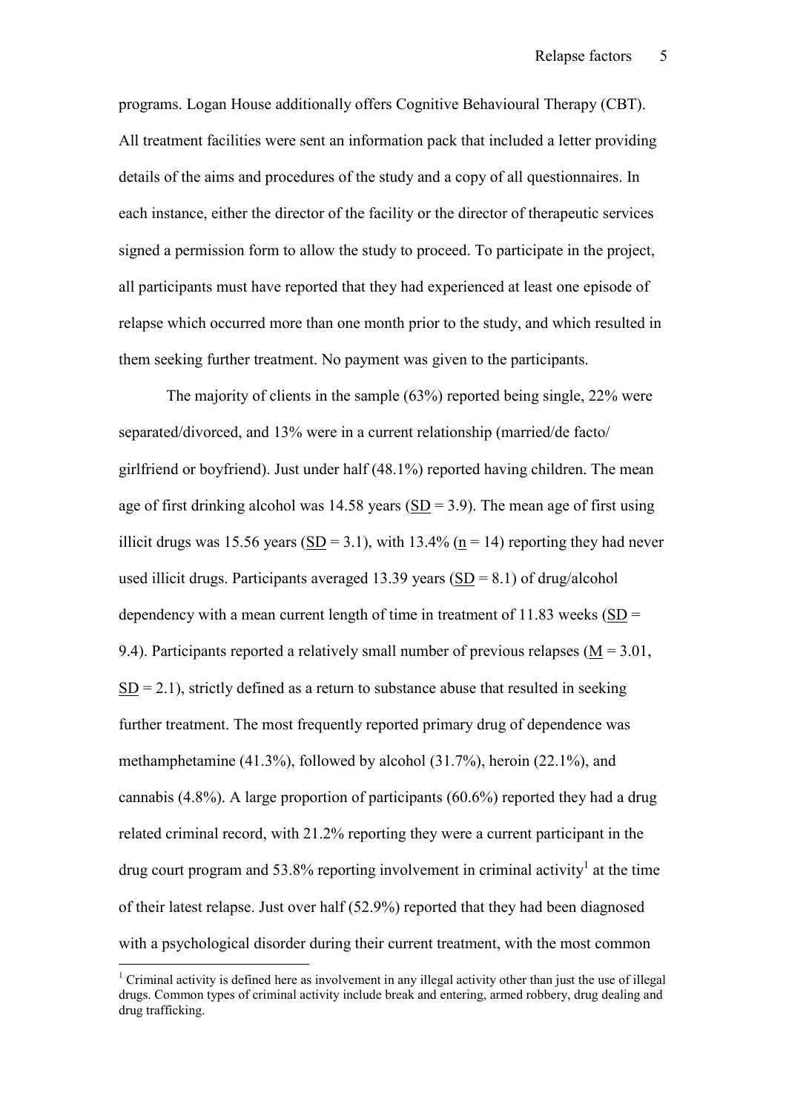programs. Logan House additionally offers Cognitive Behavioural Therapy (CBT). All treatment facilities were sent an information pack that included a letter providing details of the aims and procedures of the study and a copy of all questionnaires. In each instance, either the director of the facility or the director of therapeutic services signed a permission form to allow the study to proceed. To participate in the project, all participants must have reported that they had experienced at least one episode of relapse which occurred more than one month prior to the study, and which resulted in them seeking further treatment. No payment was given to the participants.

The majority of clients in the sample (63%) reported being single, 22% were separated/divorced, and 13% were in a current relationship (married/de facto/ girlfriend or boyfriend). Just under half (48.1%) reported having children. The mean age of first drinking alcohol was  $14.58$  years (SD = 3.9). The mean age of first using illicit drugs was 15.56 years (SD = 3.1), with 13.4% ( $n = 14$ ) reporting they had never used illicit drugs. Participants averaged 13.39 years  $(SD = 8.1)$  of drug/alcohol dependency with a mean current length of time in treatment of  $11.83$  weeks (SD = 9.4). Participants reported a relatively small number of previous relapses  $(M = 3.01)$ ,  $SD = 2.1$ ), strictly defined as a return to substance abuse that resulted in seeking further treatment. The most frequently reported primary drug of dependence was methamphetamine (41.3%), followed by alcohol (31.7%), heroin (22.1%), and cannabis  $(4.8\%)$ . A large proportion of participants  $(60.6\%)$  reported they had a drug related criminal record, with 21.2% reporting they were a current participant in the drug court program and 53.8% reporting involvement in criminal activity<sup>1</sup> at the time of their latest relapse. Just over half (52.9%) reported that they had been diagnosed with a psychological disorder during their current treatment, with the most common

<sup>&</sup>lt;sup>1</sup> Criminal activity is defined here as involvement in any illegal activity other than just the use of illegal drugs. Common types of criminal activity include break and entering, armed robbery, drug dealing and drug trafficking.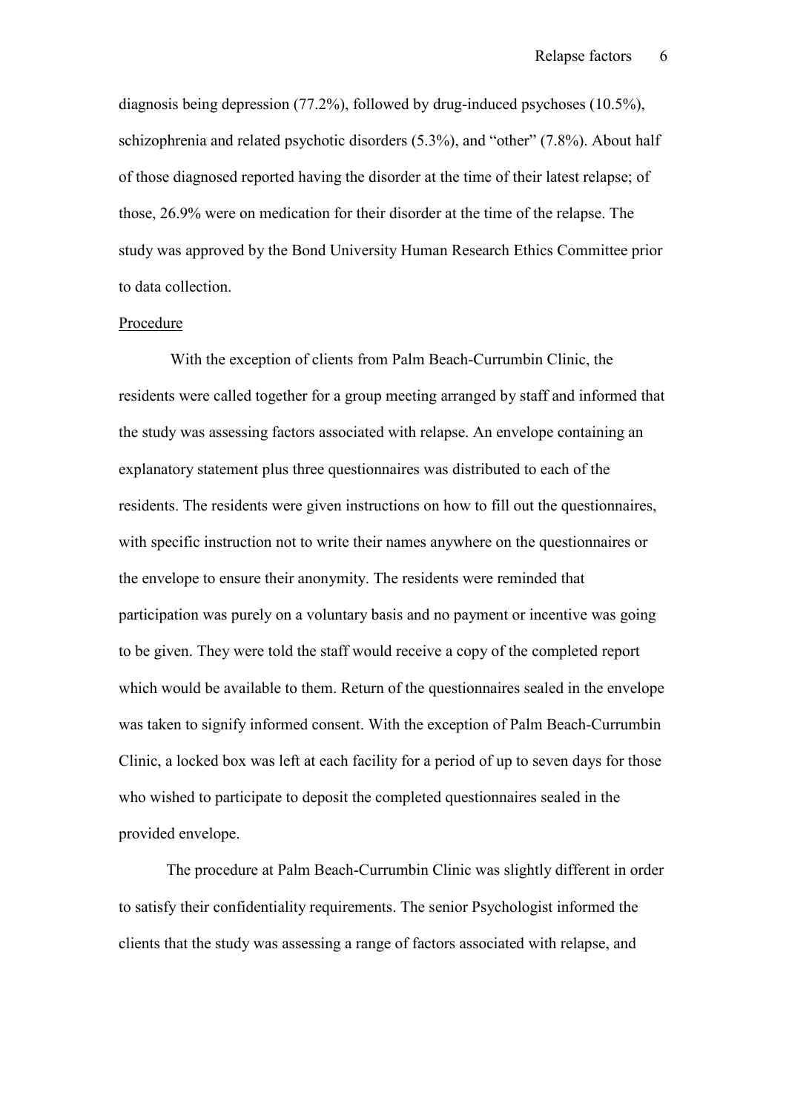diagnosis being depression (77.2%), followed by drug-induced psychoses (10.5%), schizophrenia and related psychotic disorders (5.3%), and "other" (7.8%). About half of those diagnosed reported having the disorder at the time of their latest relapse; of those, 26.9% were on medication for their disorder at the time of the relapse. The study was approved by the Bond University Human Research Ethics Committee prior to data collection.

#### **Procedure**

With the exception of clients from Palm Beach-Currumbin Clinic, the residents were called together for a group meeting arranged by staff and informed that the study was assessing factors associated with relapse. An envelope containing an explanatory statement plus three questionnaires was distributed to each of the residents. The residents were given instructions on how to fill out the questionnaires, with specific instruction not to write their names anywhere on the questionnaires or the envelope to ensure their anonymity. The residents were reminded that participation was purely on a voluntary basis and no payment or incentive was going to be given. They were told the staff would receive a copy of the completed report which would be available to them. Return of the questionnaires sealed in the envelope was taken to signify informed consent. With the exception of Palm Beach-Currumbin Clinic, a locked box was left at each facility for a period of up to seven days for those who wished to participate to deposit the completed questionnaires sealed in the provided envelope.

The procedure at Palm Beach-Currumbin Clinic was slightly different in order to satisfy their confidentiality requirements. The senior Psychologist informed the clients that the study was assessing a range of factors associated with relapse, and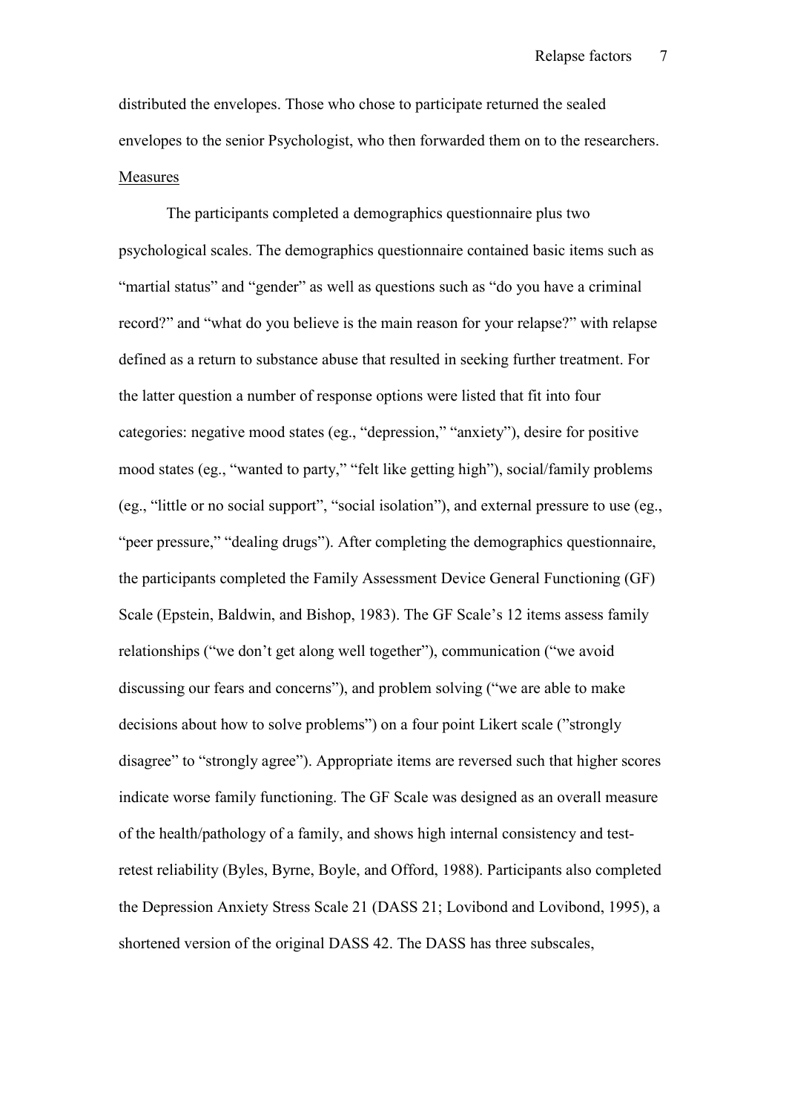distributed the envelopes. Those who chose to participate returned the sealed envelopes to the senior Psychologist, who then forwarded them on to the researchers. Measures

The participants completed a demographics questionnaire plus two psychological scales. The demographics questionnaire contained basic items such as "martial status" and "gender" as well as questions such as "do you have a criminal record?" and "what do you believe is the main reason for your relapse?" with relapse defined as a return to substance abuse that resulted in seeking further treatment. For the latter question a number of response options were listed that fit into four categories: negative mood states (eg., "depression," "anxiety"), desire for positive mood states (eg., "wanted to party," "felt like getting high"), social/family problems (eg., "little or no social support", "social isolation"), and external pressure to use (eg., "peer pressure," "dealing drugs"). After completing the demographics questionnaire, the participants completed the Family Assessment Device General Functioning (GF) Scale (Epstein, Baldwin, and Bishop, 1983). The GF Scale's 12 items assess family relationships ("we don't get along well together"), communication ("we avoid discussing our fears and concerns"), and problem solving ("we are able to make decisions about how to solve problems") on a four point Likert scale ("strongly disagree" to "strongly agree"). Appropriate items are reversed such that higher scores indicate worse family functioning. The GF Scale was designed as an overall measure of the health/pathology of a family, and shows high internal consistency and testretest reliability (Byles, Byrne, Boyle, and Offord, 1988). Participants also completed the Depression Anxiety Stress Scale 21 (DASS 21; Lovibond and Lovibond, 1995), a shortened version of the original DASS 42. The DASS has three subscales,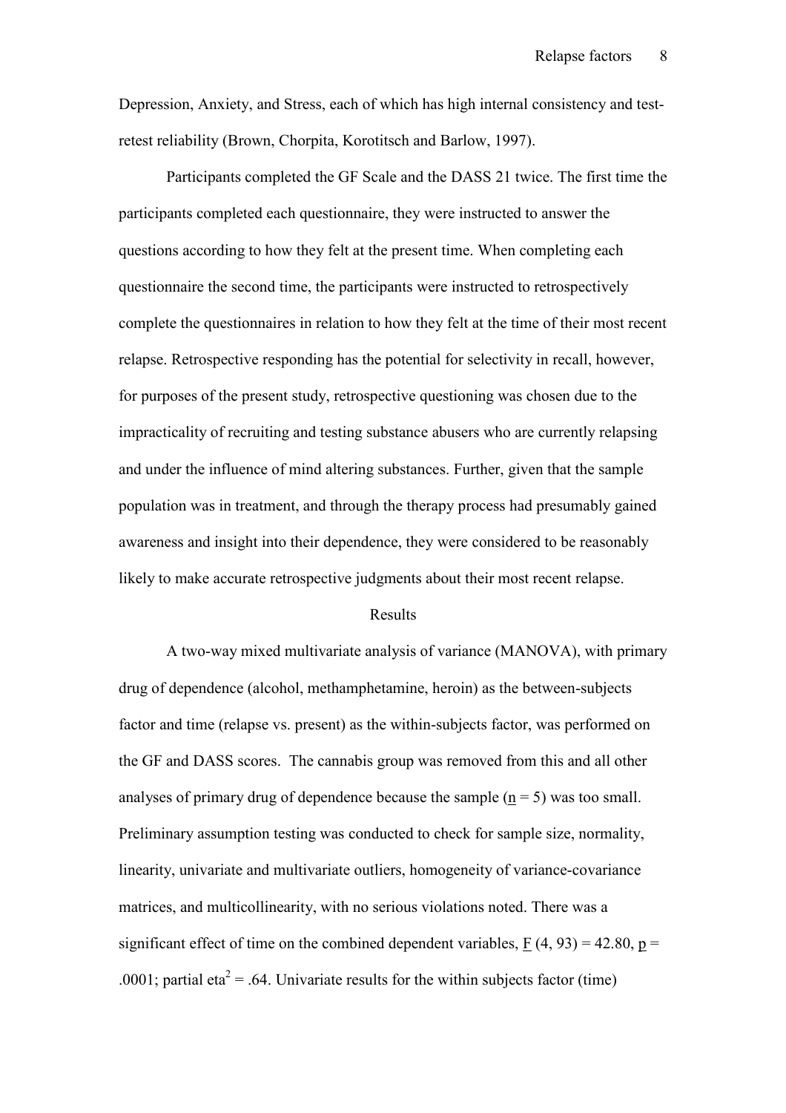Depression, Anxiety, and Stress, each of which has high internal consistency and testretest reliability (Brown, Chorpita, Korotitsch and Barlow, 1997).

Participants completed the GF Scale and the DASS 21 twice. The first time the participants completed each questionnaire, they were instructed to answer the questions according to how they felt at the present time. When completing each questionnaire the second time, the participants were instructed to retrospectively complete the questionnaires in relation to how they felt at the time of their most recent relapse. Retrospective responding has the potential for selectivity in recall, however, for purposes of the present study, retrospective questioning was chosen due to the impracticality of recruiting and testing substance abusers who are currently relapsing and under the influence of mind altering substances. Further, given that the sample population was in treatment, and through the therapy process had presumably gained awareness and insight into their dependence, they were considered to be reasonably likely to make accurate retrospective judgments about their most recent relapse.

#### Results

A two-way mixed multivariate analysis of variance (MANOVA), with primary drug of dependence (alcohol, methamphetamine, heroin) as the between-subjects factor and time (relapse vs. present) as the within-subjects factor, was performed on the GF and DASS scores. The cannabis group was removed from this and all other analyses of primary drug of dependence because the sample  $(n = 5)$  was too small. Preliminary assumption testing was conducted to check for sample size, normality, linearity, univariate and multivariate outliers, homogeneity of variance-covariance matrices, and multicollinearity, with no serious violations noted. There was a significant effect of time on the combined dependent variables,  $F(4, 93) = 42.80$ ,  $p =$ .0001; partial eta<sup>2</sup> = .64. Univariate results for the within subjects factor (time)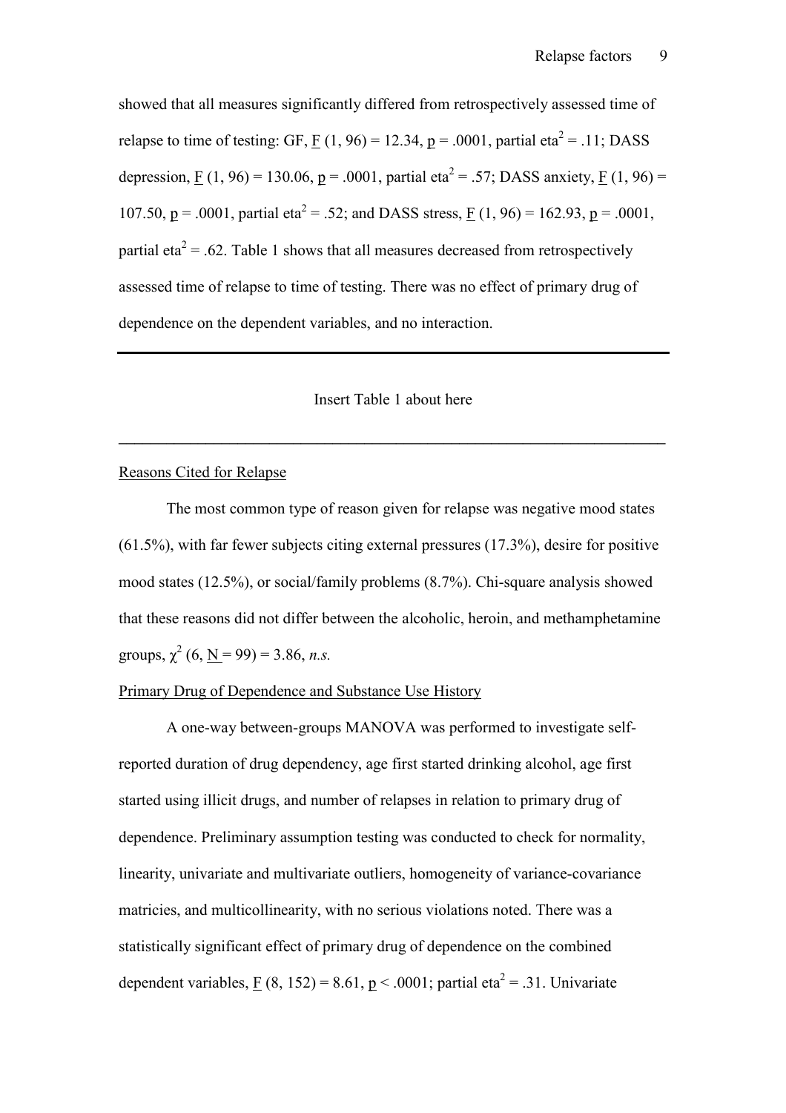showed that all measures significantly differed from retrospectively assessed time of relapse to time of testing: GF, F  $(1, 96) = 12.34$ , p = .0001, partial eta<sup>2</sup> = .11; DASS depression, F (1, 96) = 130.06, p = .0001, partial eta<sup>2</sup> = .57; DASS anxiety, F (1, 96) = 107.50, p = .0001, partial eta<sup>2</sup> = .52; and DASS stress, F (1, 96) = 162.93, p = .0001, partial eta<sup>2</sup> = .62. Table 1 shows that all measures decreased from retrospectively assessed time of relapse to time of testing. There was no effect of primary drug of dependence on the dependent variables, and no interaction.

## Insert Table 1 about here

 $\mathcal{L} = \{ \mathcal{L} \mathcal{L} \mathcal{L} \mathcal{L} \mathcal{L} \mathcal{L} \mathcal{L} \mathcal{L} \mathcal{L} \mathcal{L} \mathcal{L} \mathcal{L} \mathcal{L} \mathcal{L} \mathcal{L} \mathcal{L} \mathcal{L} \mathcal{L} \mathcal{L} \mathcal{L} \mathcal{L} \mathcal{L} \mathcal{L} \mathcal{L} \mathcal{L} \mathcal{L} \mathcal{L} \mathcal{L} \mathcal{L} \mathcal{L} \mathcal{L} \mathcal{L} \mathcal{L} \mathcal{L} \mathcal{L} \$ 

#### Reasons Cited for Relapse

The most common type of reason given for relapse was negative mood states (61.5%), with far fewer subjects citing external pressures (17.3%), desire for positive mood states (12.5%), or social/family problems (8.7%). Chi-square analysis showed that these reasons did not differ between the alcoholic, heroin, and methamphetamine groups,  $\chi^2$  (6, <u>N</u> = 99) = 3.86, *n.s.* 

## Primary Drug of Dependence and Substance Use History

A one-way between-groups MANOVA was performed to investigate selfreported duration of drug dependency, age first started drinking alcohol, age first started using illicit drugs, and number of relapses in relation to primary drug of dependence. Preliminary assumption testing was conducted to check for normality, linearity, univariate and multivariate outliers, homogeneity of variance-covariance matricies, and multicollinearity, with no serious violations noted. There was a statistically significant effect of primary drug of dependence on the combined dependent variables, F (8, 152) = 8.61, p < .0001; partial eta<sup>2</sup> = .31. Univariate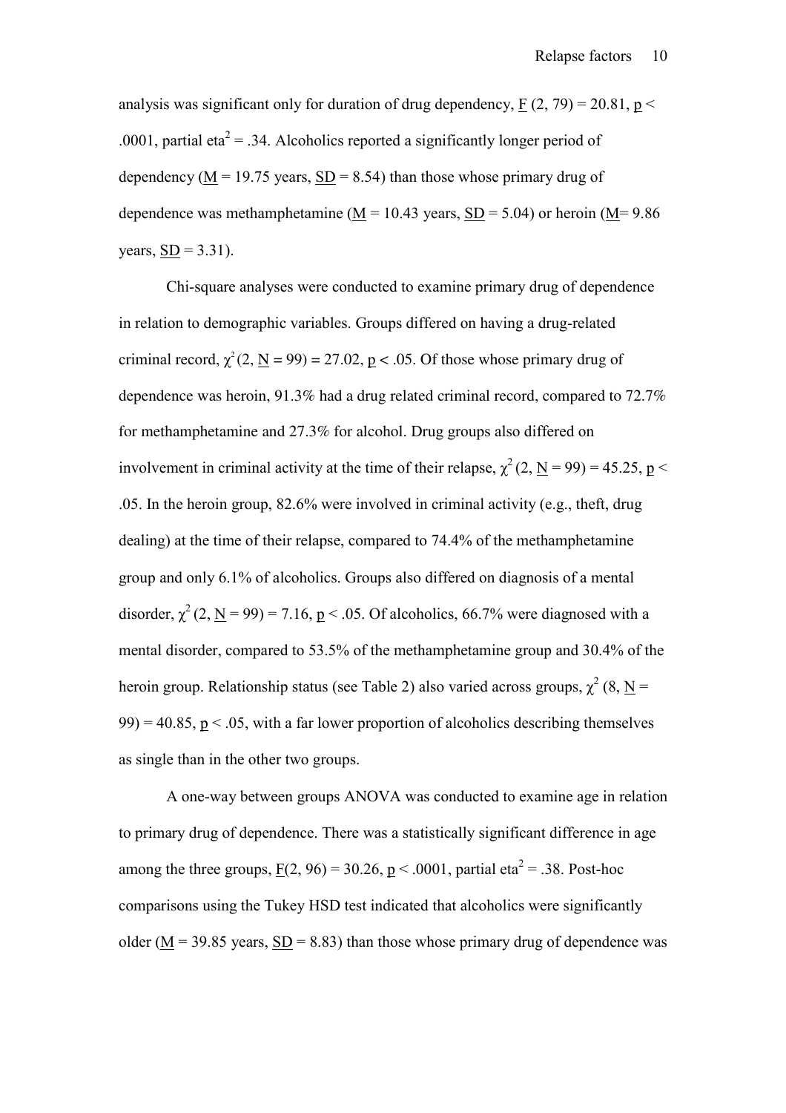analysis was significant only for duration of drug dependency,  $F(2, 79) = 20.81$ ,  $p <$ .0001, partial eta<sup>2</sup> = .34. Alcoholics reported a significantly longer period of dependency ( $M = 19.75$  years,  $SD = 8.54$ ) than those whose primary drug of dependence was methamphetamine ( $M = 10.43$  years,  $SD = 5.04$ ) or heroin ( $M = 9.86$ ) years,  $SD = 3.31$ ).

Chi-square analyses were conducted to examine primary drug of dependence in relation to demographic variables. Groups differed on having a drug-related criminal record,  $\chi^2(2, \mathbf{N} = 99) = 27.02$ ,  $p < .05$ . Of those whose primary drug of dependence was heroin, 91.3% had a drug related criminal record, compared to 72.7% for methamphetamine and 27.3% for alcohol. Drug groups also differed on involvement in criminal activity at the time of their relapse,  $\chi^2$  (2, N = 99) = 45.25, p < .05. In the heroin group, 82.6% were involved in criminal activity (e.g., theft, drug dealing) at the time of their relapse, compared to 74.4% of the methamphetamine group and only 6.1% of alcoholics. Groups also differed on diagnosis of a mental disorder,  $\chi^2$  (2, <u>N</u> = 99) = 7.16, <u>p</u> < .05. Of alcoholics, 66.7% were diagnosed with a mental disorder, compared to 53.5% of the methamphetamine group and 30.4% of the heroin group. Relationship status (see Table 2) also varied across groups,  $\chi^2$  (8, N =  $99$ ) = 40.85, p < .05, with a far lower proportion of alcoholics describing themselves as single than in the other two groups.

A one-way between groups ANOVA was conducted to examine age in relation to primary drug of dependence. There was a statistically significant difference in age among the three groups,  $F(2, 96) = 30.26$ ,  $p < .0001$ , partial eta<sup>2</sup> = .38. Post-hoc comparisons using the Tukey HSD test indicated that alcoholics were significantly older ( $M = 39.85$  years,  $SD = 8.83$ ) than those whose primary drug of dependence was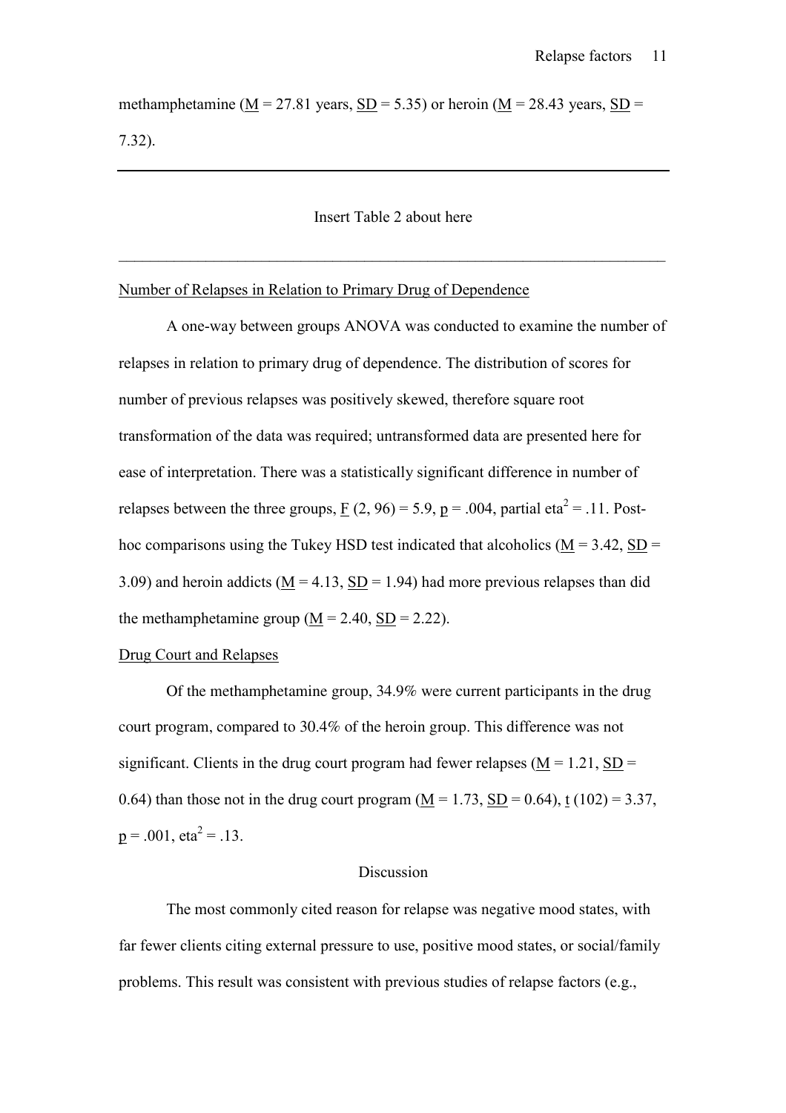methamphetamine ( $M = 27.81$  years,  $SD = 5.35$ ) or heroin ( $M = 28.43$  years,  $SD =$ 7.32).

## Insert Table 2 about here

 $\_$  , and the contribution of the contribution of  $\mathcal{L}_\mathcal{A}$  , and the contribution of  $\mathcal{L}_\mathcal{A}$ 

# Number of Relapses in Relation to Primary Drug of Dependence

A one-way between groups ANOVA was conducted to examine the number of relapses in relation to primary drug of dependence. The distribution of scores for number of previous relapses was positively skewed, therefore square root transformation of the data was required; untransformed data are presented here for ease of interpretation. There was a statistically significant difference in number of relapses between the three groups, F (2, 96) = 5.9, p = .004, partial eta<sup>2</sup> = .11. Posthoc comparisons using the Tukey HSD test indicated that alcoholics ( $M = 3.42$ , SD = 3.09) and heroin addicts ( $M = 4.13$ ,  $SD = 1.94$ ) had more previous relapses than did the methamphetamine group  $(M = 2.40, SD = 2.22)$ .

#### Drug Court and Relapses

Of the methamphetamine group, 34.9% were current participants in the drug court program, compared to 30.4% of the heroin group. This difference was not significant. Clients in the drug court program had fewer relapses ( $M = 1.21$ , SD = 0.64) than those not in the drug court program  $(M = 1.73, SD = 0.64)$ , t  $(102) = 3.37$ ,  $p = .001$ ,  $eta^2 = .13$ .

#### Discussion

 The most commonly cited reason for relapse was negative mood states, with far fewer clients citing external pressure to use, positive mood states, or social/family problems. This result was consistent with previous studies of relapse factors (e.g.,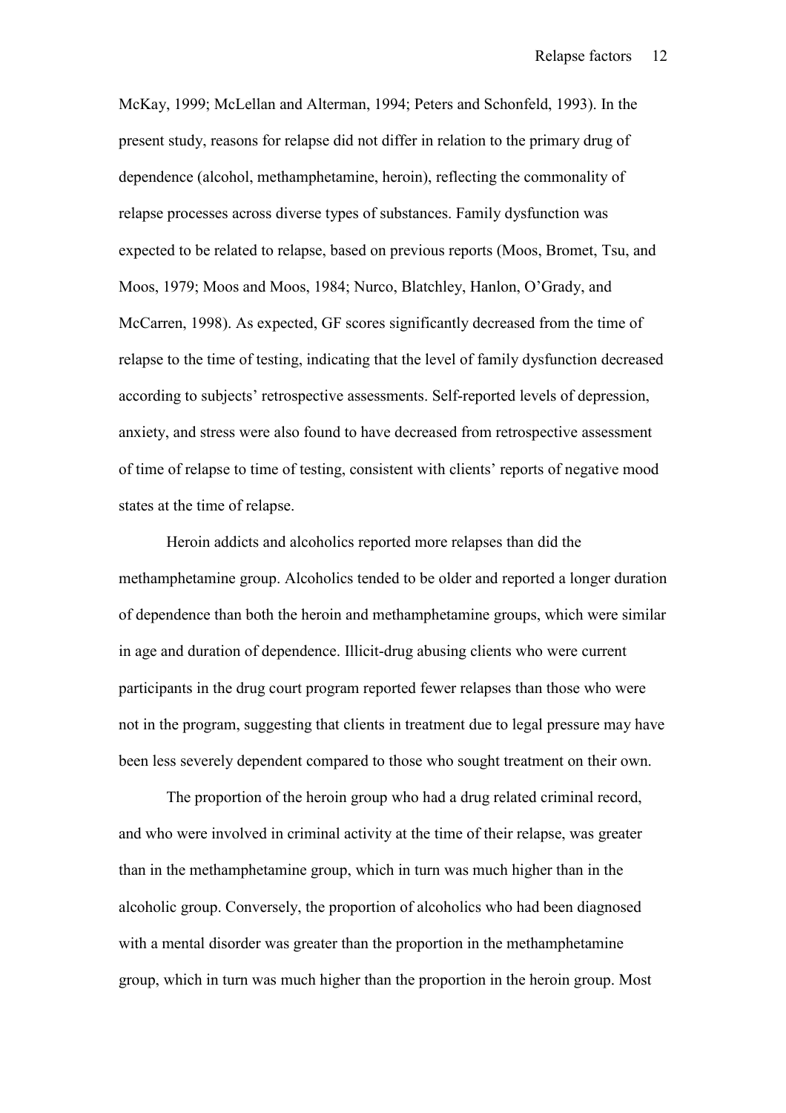McKay, 1999; McLellan and Alterman, 1994; Peters and Schonfeld, 1993). In the present study, reasons for relapse did not differ in relation to the primary drug of dependence (alcohol, methamphetamine, heroin), reflecting the commonality of relapse processes across diverse types of substances. Family dysfunction was expected to be related to relapse, based on previous reports (Moos, Bromet, Tsu, and Moos, 1979; Moos and Moos, 1984; Nurco, Blatchley, Hanlon, O'Grady, and McCarren, 1998). As expected, GF scores significantly decreased from the time of relapse to the time of testing, indicating that the level of family dysfunction decreased according to subjects' retrospective assessments. Self-reported levels of depression, anxiety, and stress were also found to have decreased from retrospective assessment of time of relapse to time of testing, consistent with clients' reports of negative mood states at the time of relapse.

Heroin addicts and alcoholics reported more relapses than did the methamphetamine group. Alcoholics tended to be older and reported a longer duration of dependence than both the heroin and methamphetamine groups, which were similar in age and duration of dependence. Illicit-drug abusing clients who were current participants in the drug court program reported fewer relapses than those who were not in the program, suggesting that clients in treatment due to legal pressure may have been less severely dependent compared to those who sought treatment on their own.

The proportion of the heroin group who had a drug related criminal record, and who were involved in criminal activity at the time of their relapse, was greater than in the methamphetamine group, which in turn was much higher than in the alcoholic group. Conversely, the proportion of alcoholics who had been diagnosed with a mental disorder was greater than the proportion in the methamphetamine group, which in turn was much higher than the proportion in the heroin group. Most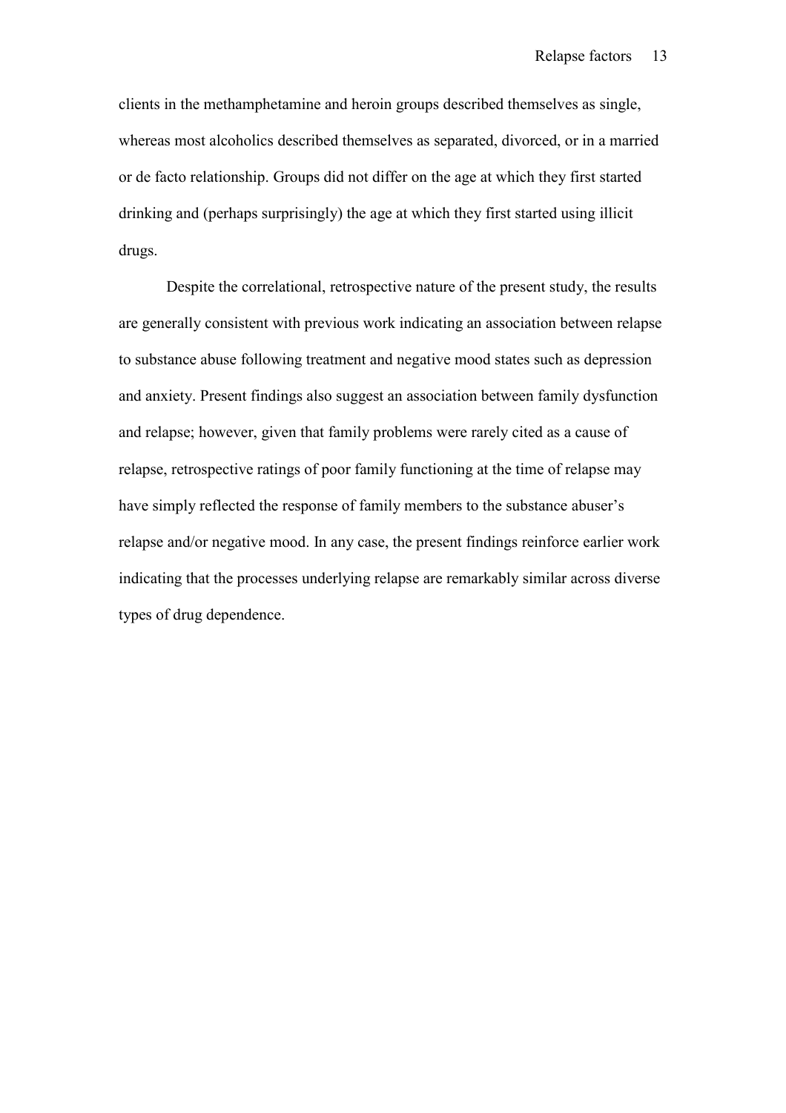clients in the methamphetamine and heroin groups described themselves as single, whereas most alcoholics described themselves as separated, divorced, or in a married or de facto relationship. Groups did not differ on the age at which they first started drinking and (perhaps surprisingly) the age at which they first started using illicit drugs.

Despite the correlational, retrospective nature of the present study, the results are generally consistent with previous work indicating an association between relapse to substance abuse following treatment and negative mood states such as depression and anxiety. Present findings also suggest an association between family dysfunction and relapse; however, given that family problems were rarely cited as a cause of relapse, retrospective ratings of poor family functioning at the time of relapse may have simply reflected the response of family members to the substance abuser's relapse and/or negative mood. In any case, the present findings reinforce earlier work indicating that the processes underlying relapse are remarkably similar across diverse types of drug dependence.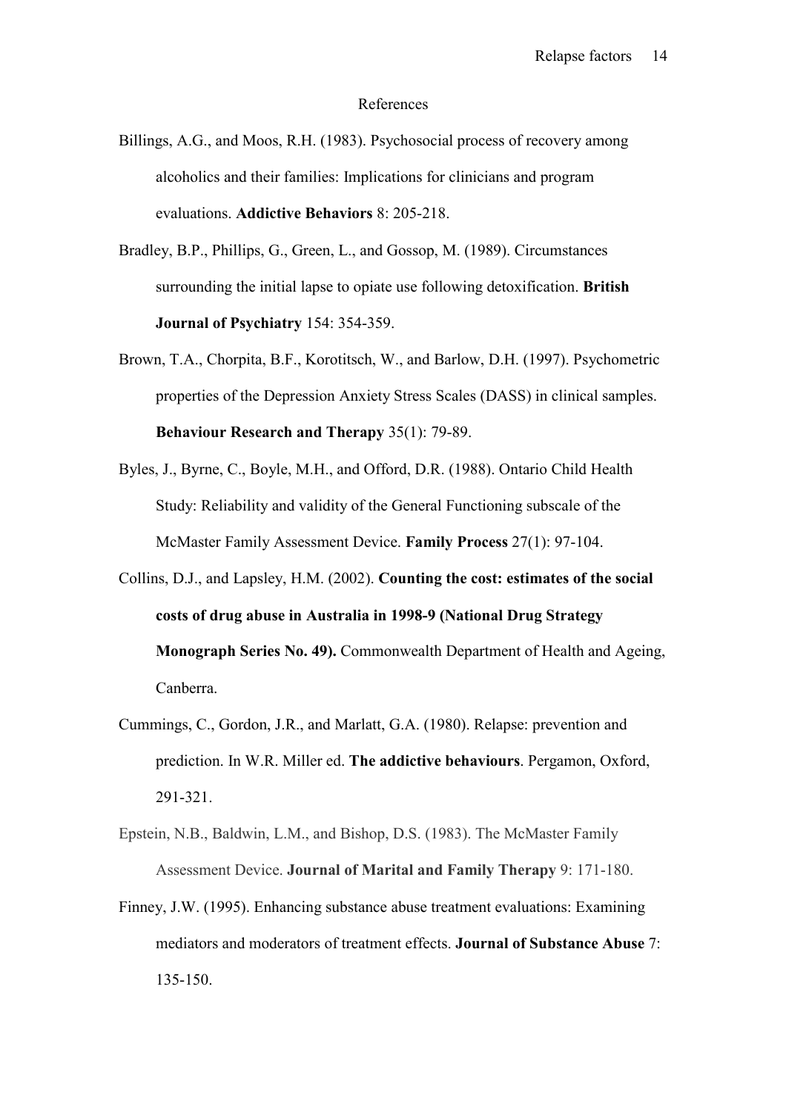#### References

- Billings, A.G., and Moos, R.H. (1983). Psychosocial process of recovery among alcoholics and their families: Implications for clinicians and program evaluations. **Addictive Behaviors** 8: 205-218.
- Bradley, B.P., Phillips, G., Green, L., and Gossop, M. (1989). Circumstances surrounding the initial lapse to opiate use following detoxification. **British Journal of Psychiatry** 154: 354-359.
- Brown, T.A., Chorpita, B.F., Korotitsch, W., and Barlow, D.H. (1997). Psychometric properties of the Depression Anxiety Stress Scales (DASS) in clinical samples. **Behaviour Research and Therapy** 35(1): 79-89.
- Byles, J., Byrne, C., Boyle, M.H., and Offord, D.R. (1988). Ontario Child Health Study: Reliability and validity of the General Functioning subscale of the McMaster Family Assessment Device. **Family Process** 27(1): 97-104.
- Collins, D.J., and Lapsley, H.M. (2002). **Counting the cost: estimates of the social costs of drug abuse in Australia in 1998-9 (National Drug Strategy Monograph Series No. 49).** Commonwealth Department of Health and Ageing, Canberra.
- Cummings, C., Gordon, J.R., and Marlatt, G.A. (1980). Relapse: prevention and prediction. In W.R. Miller ed. **The addictive behaviours**. Pergamon, Oxford, 291-321.
- Epstein, N.B., Baldwin, L.M., and Bishop, D.S. (1983). The McMaster Family Assessment Device. **Journal of Marital and Family Therapy** 9: 171-180.
- Finney, J.W. (1995). Enhancing substance abuse treatment evaluations: Examining mediators and moderators of treatment effects. **Journal of Substance Abuse** 7: 135-150.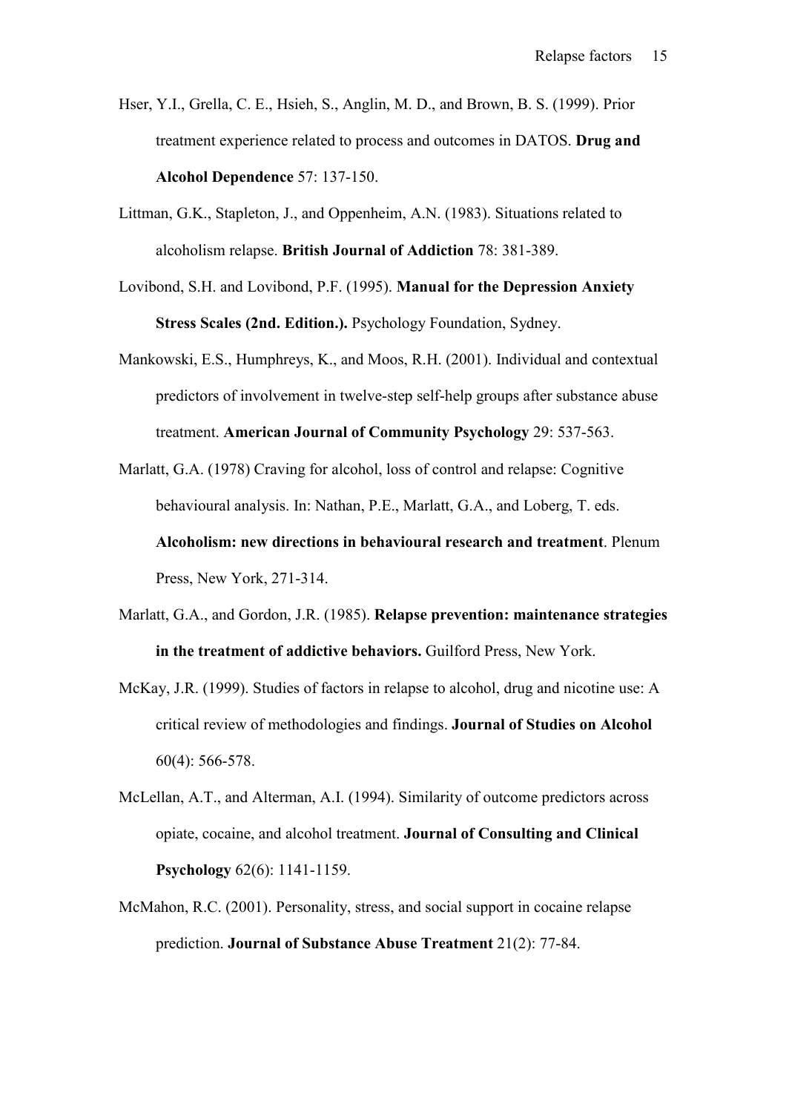- Hser, Y.I., Grella, C. E., Hsieh, S., Anglin, M. D., and Brown, B. S. (1999). Prior treatment experience related to process and outcomes in DATOS. **Drug and Alcohol Dependence** 57: 137-150.
- Littman, G.K., Stapleton, J., and Oppenheim, A.N. (1983). Situations related to alcoholism relapse. **British Journal of Addiction** 78: 381-389.
- Lovibond, S.H. and Lovibond, P.F. (1995). **Manual for the Depression Anxiety Stress Scales (2nd. Edition.).** Psychology Foundation, Sydney.
- Mankowski, E.S., Humphreys, K., and Moos, R.H. (2001). Individual and contextual predictors of involvement in twelve-step self-help groups after substance abuse treatment. **American Journal of Community Psychology** 29: 537-563.
- Marlatt, G.A. (1978) Craving for alcohol, loss of control and relapse: Cognitive behavioural analysis. In: Nathan, P.E., Marlatt, G.A., and Loberg, T. eds. **Alcoholism: new directions in behavioural research and treatment**. Plenum Press, New York, 271-314.
- Marlatt, G.A., and Gordon, J.R. (1985). **Relapse prevention: maintenance strategies in the treatment of addictive behaviors.** Guilford Press, New York.
- McKay, J.R. (1999). Studies of factors in relapse to alcohol, drug and nicotine use: A critical review of methodologies and findings. **Journal of Studies on Alcohol** 60(4): 566-578.
- McLellan, A.T., and Alterman, A.I. (1994). Similarity of outcome predictors across opiate, cocaine, and alcohol treatment. **Journal of Consulting and Clinical Psychology** 62(6): 1141-1159.
- McMahon, R.C. (2001). Personality, stress, and social support in cocaine relapse prediction. **Journal of Substance Abuse Treatment** 21(2): 77-84.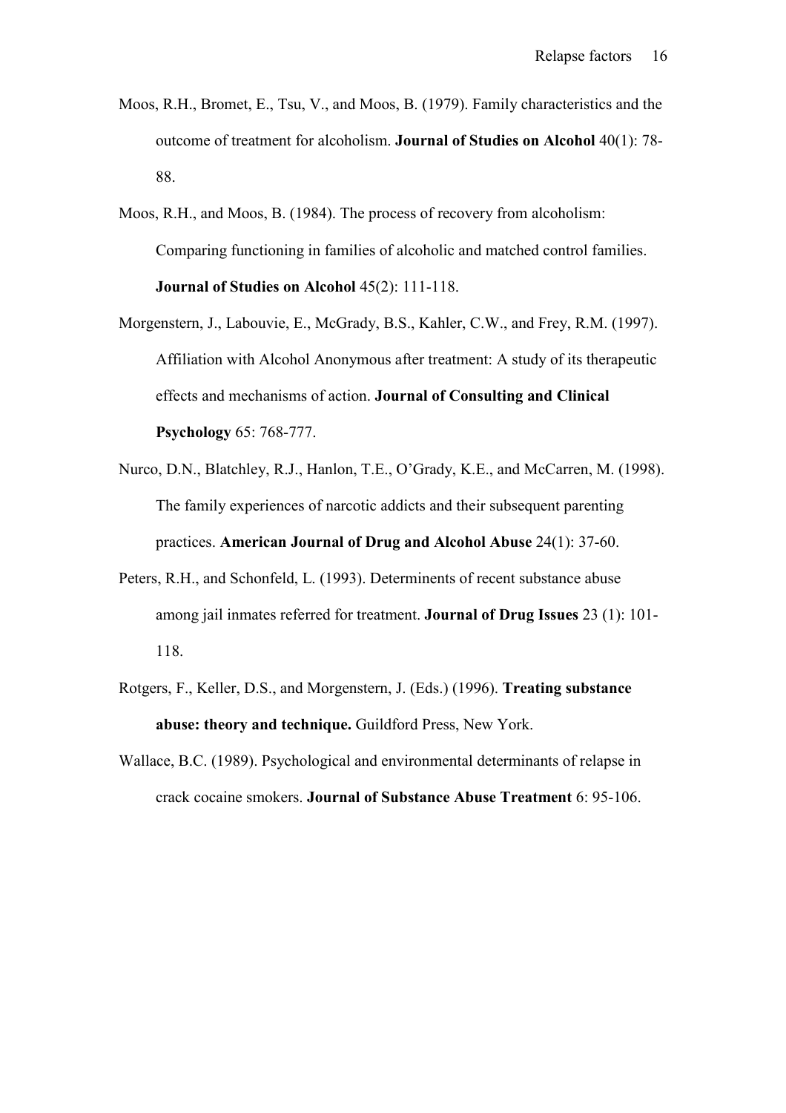- Moos, R.H., Bromet, E., Tsu, V., and Moos, B. (1979). Family characteristics and the outcome of treatment for alcoholism. **Journal of Studies on Alcohol** 40(1): 78- 88.
- Moos, R.H., and Moos, B. (1984). The process of recovery from alcoholism: Comparing functioning in families of alcoholic and matched control families. **Journal of Studies on Alcohol** 45(2): 111-118.
- Morgenstern, J., Labouvie, E., McGrady, B.S., Kahler, C.W., and Frey, R.M. (1997). Affiliation with Alcohol Anonymous after treatment: A study of its therapeutic effects and mechanisms of action. **Journal of Consulting and Clinical Psychology** 65: 768-777.
- Nurco, D.N., Blatchley, R.J., Hanlon, T.E., O'Grady, K.E., and McCarren, M. (1998). The family experiences of narcotic addicts and their subsequent parenting practices. **American Journal of Drug and Alcohol Abuse** 24(1): 37-60.
- Peters, R.H., and Schonfeld, L. (1993). Determinents of recent substance abuse among jail inmates referred for treatment. **Journal of Drug Issues** 23 (1): 101- 118.
- Rotgers, F., Keller, D.S., and Morgenstern, J. (Eds.) (1996). **Treating substance abuse: theory and technique.** Guildford Press, New York.
- Wallace, B.C. (1989). Psychological and environmental determinants of relapse in crack cocaine smokers. **Journal of Substance Abuse Treatment** 6: 95-106.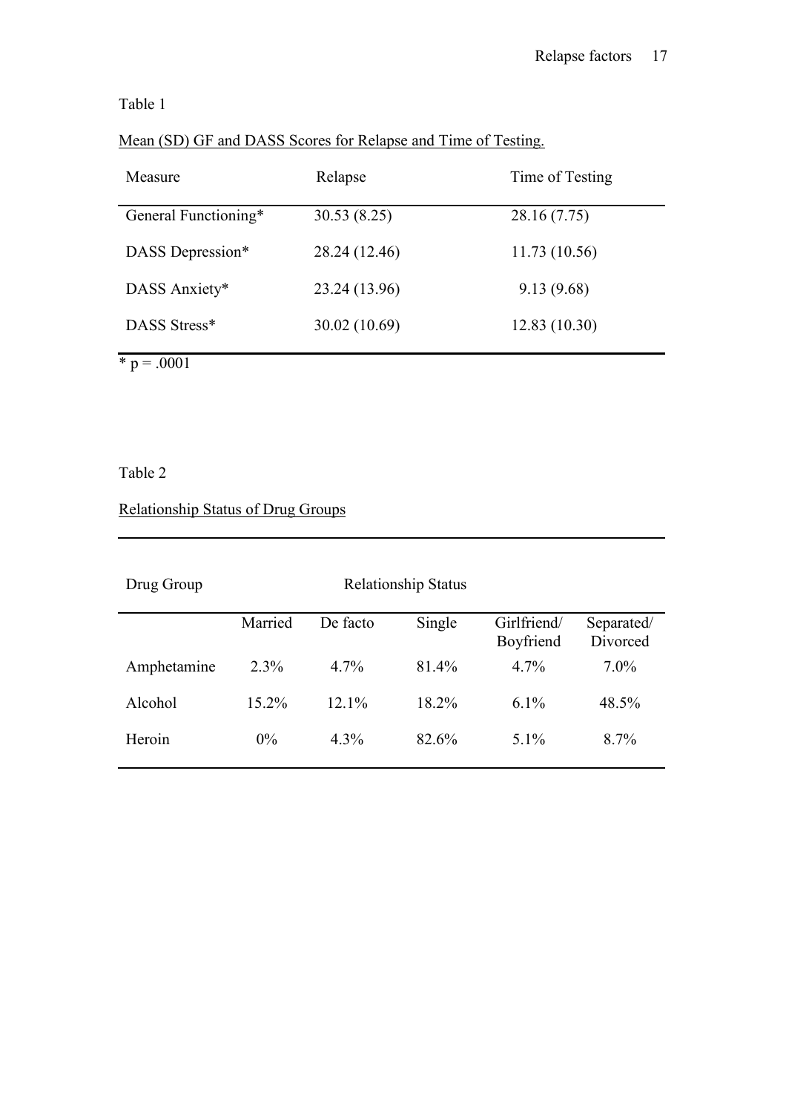# Table 1

| Mean (SD) GF and DASS Scores for Relapse and Time of Testing. |
|---------------------------------------------------------------|
|---------------------------------------------------------------|

| Measure              | Relapse       | Time of Testing |
|----------------------|---------------|-----------------|
| General Functioning* | 30.53(8.25)   | 28.16 (7.75)    |
| DASS Depression*     | 28.24 (12.46) | 11.73(10.56)    |
| DASS Anxiety*        | 23.24 (13.96) | 9.13(9.68)      |
| DASS Stress*         | 30.02 (10.69) | 12.83(10.30)    |

 $* p = .0001$ 

# Table 2

# Relationship Status of Drug Groups

| Married  | De facto | Single   | Girlfriend/<br>Boyfriend   | Separated/<br>Divorced |
|----------|----------|----------|----------------------------|------------------------|
| $2.3\%$  | $4.7\%$  | 81.4%    | $4.7\%$                    | $7.0\%$                |
| $15.2\%$ | $12.1\%$ | $18.2\%$ | $6.1\%$                    | 48.5%                  |
| $0\%$    | $4.3\%$  | 82.6%    | $5.1\%$                    | $8.7\%$                |
|          |          |          | <b>Relationship Status</b> |                        |